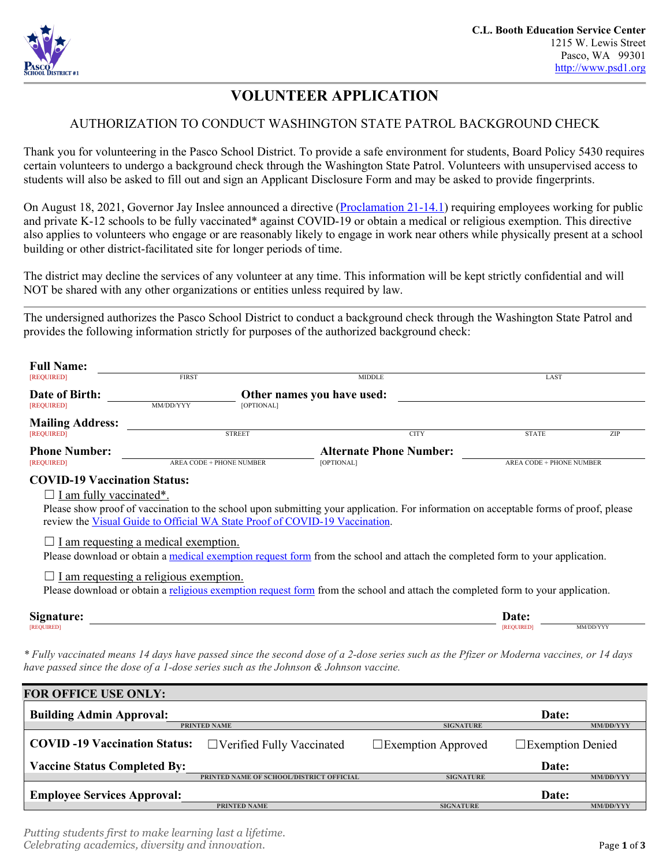

# **VOLUNTEER APPLICATION**

## AUTHORIZATION TO CONDUCT WASHINGTON STATE PATROL BACKGROUND CHECK

Thank you for volunteering in the Pasco School District. To provide a safe environment for students, Board Policy 5430 requires certain volunteers to undergo a background check through the Washington State Patrol. Volunteers with unsupervised access to students will also be asked to fill out and sign an Applicant Disclosure Form and may be asked to provide fingerprints.

On August 18, 2021, Governor Jay Inslee announced a directive [\(Proclamation 21-14.1\)](https://www.governor.wa.gov/sites/default/files/proclamations/21-14.1%20-%20COVID-19%20Vax%20Washington%20Amendment.pdf) requiring employees working for public and private K-12 schools to be fully vaccinated\* against COVID-19 or obtain a medical or religious exemption. This directive also applies to volunteers who engage or are reasonably likely to engage in work near others while physically present at a school building or other district-facilitated site for longer periods of time.

The district may decline the services of any volunteer at any time. This information will be kept strictly confidential and will NOT be shared with any other organizations or entities unless required by law.

The undersigned authorizes the Pasco School District to conduct a background check through the Washington State Patrol and provides the following information strictly for purposes of the authorized background check:

| <b>Full Name:</b>                                                                                                                                                                                                                |              |                                          |                            |                                |                  |                                 |                  |  |  |
|----------------------------------------------------------------------------------------------------------------------------------------------------------------------------------------------------------------------------------|--------------|------------------------------------------|----------------------------|--------------------------------|------------------|---------------------------------|------------------|--|--|
| [REQUIRED]                                                                                                                                                                                                                       | <b>FIRST</b> |                                          |                            | <b>MIDDLE</b>                  |                  | LAST                            |                  |  |  |
| Date of Birth:<br>[REQUIRED]                                                                                                                                                                                                     | MM/DD/YYY    | [OPTIONAL]                               | Other names you have used: |                                |                  |                                 |                  |  |  |
| <b>Mailing Address:</b><br>[REQUIRED]                                                                                                                                                                                            |              | <b>STREET</b>                            |                            | <b>CITY</b>                    |                  | <b>STATE</b>                    | ZIP              |  |  |
| <b>Phone Number:</b><br>[REQUIRED]                                                                                                                                                                                               |              | <b>AREA CODE + PHONE NUMBER</b>          | [OPTIONAL]                 | <b>Alternate Phone Number:</b> |                  | <b>AREA CODE + PHONE NUMBER</b> |                  |  |  |
| <b>COVID-19 Vaccination Status:</b>                                                                                                                                                                                              |              |                                          |                            |                                |                  |                                 |                  |  |  |
| $\Box$ I am fully vaccinated*.                                                                                                                                                                                                   |              |                                          |                            |                                |                  |                                 |                  |  |  |
| Please show proof of vaccination to the school upon submitting your application. For information on acceptable forms of proof, please<br>review the Visual Guide to Official WA State Proof of COVID-19 Vaccination.             |              |                                          |                            |                                |                  |                                 |                  |  |  |
| I am requesting a medical exemption.<br>Please download or obtain a medical exemption request form from the school and attach the completed form to your application.                                                            |              |                                          |                            |                                |                  |                                 |                  |  |  |
| I am requesting a religious exemption.<br>Please download or obtain a religious exemption request form from the school and attach the completed form to your application.                                                        |              |                                          |                            |                                |                  |                                 |                  |  |  |
| Signature:<br><b>[REOUIRED]</b>                                                                                                                                                                                                  |              |                                          |                            |                                |                  | Date:<br><b>REQUIRED1</b>       | MM/DD/YYY        |  |  |
| * Fully vaccinated means 14 days have passed since the second dose of a 2-dose series such as the Pfizer or Moderna vaccines, or 14 days<br>have passed since the dose of a 1-dose series such as the Johnson & Johnson vaccine. |              |                                          |                            |                                |                  |                                 |                  |  |  |
| <b>FOR OFFICE USE ONLY:</b>                                                                                                                                                                                                      |              |                                          |                            |                                |                  |                                 |                  |  |  |
| <b>Building Admin Approval:</b>                                                                                                                                                                                                  |              |                                          |                            |                                |                  | Date:                           |                  |  |  |
|                                                                                                                                                                                                                                  |              | <b>PRINTED NAME</b>                      |                            |                                | <b>SIGNATURE</b> |                                 | <b>MM/DD/YYY</b> |  |  |
| <b>COVID-19 Vaccination Status:</b>                                                                                                                                                                                              |              | $\Box$ Verified Fully Vaccinated         |                            | $\Box$ Exemption Approved      |                  | $\Box$ Exemption Denied         |                  |  |  |
| <b>Vaccine Status Completed By:</b>                                                                                                                                                                                              |              |                                          |                            |                                |                  | Date:                           |                  |  |  |
|                                                                                                                                                                                                                                  |              | PRINTED NAME OF SCHOOL/DISTRICT OFFICIAL |                            |                                | <b>SIGNATURE</b> |                                 | MM/DD/YYY        |  |  |

**Employee Services Approval: Date: PRINTED NAME SIGNATURE MM/DD/YYY**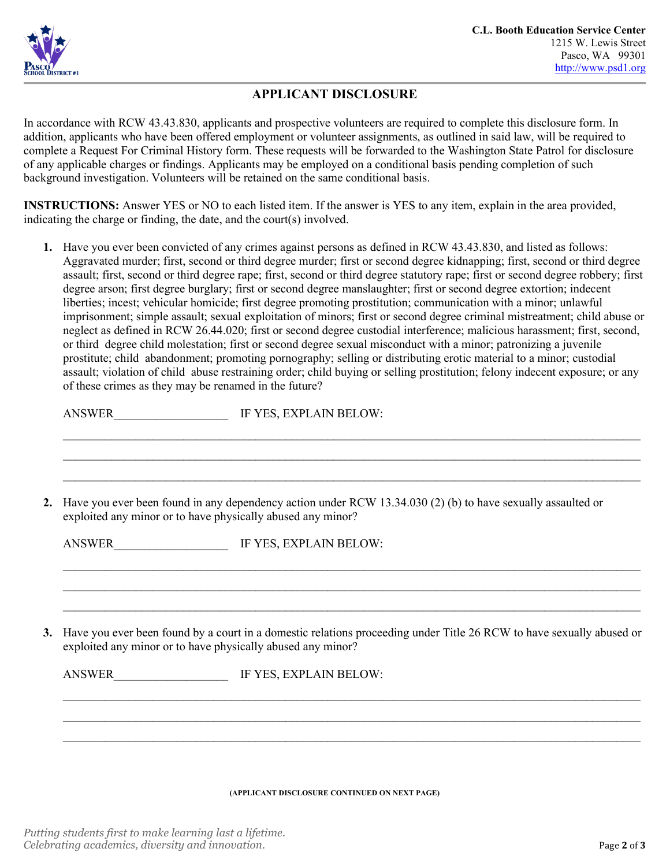

### **APPLICANT DISCLOSURE**

In accordance with RCW 43.43.830, applicants and prospective volunteers are required to complete this disclosure form. In addition, applicants who have been offered employment or volunteer assignments, as outlined in said law, will be required to complete a Request For Criminal History form. These requests will be forwarded to the Washington State Patrol for disclosure of any applicable charges or findings. Applicants may be employed on a conditional basis pending completion of such background investigation. Volunteers will be retained on the same conditional basis.

**INSTRUCTIONS:** Answer YES or NO to each listed item. If the answer is YES to any item, explain in the area provided, indicating the charge or finding, the date, and the court(s) involved.

**1.** Have you ever been convicted of any crimes against persons as defined in RCW 43.43.830, and listed as follows: Aggravated murder; first, second or third degree murder; first or second degree kidnapping; first, second or third degree assault; first, second or third degree rape; first, second or third degree statutory rape; first or second degree robbery; first degree arson; first degree burglary; first or second degree manslaughter; first or second degree extortion; indecent liberties; incest; vehicular homicide; first degree promoting prostitution; communication with a minor; unlawful imprisonment; simple assault; sexual exploitation of minors; first or second degree criminal mistreatment; child abuse or neglect as defined in RCW 26.44.020; first or second degree custodial interference; malicious harassment; first, second, or third degree child molestation; first or second degree sexual misconduct with a minor; patronizing a juvenile prostitute; child abandonment; promoting pornography; selling or distributing erotic material to a minor; custodial assault; violation of child abuse restraining order; child buying or selling prostitution; felony indecent exposure; or any of these crimes as they may be renamed in the future?

|    | ANSWER                                                                                                                                                                     | IF YES, EXPLAIN BELOW:                                                                                                                                                              |  |  |  |  |  |
|----|----------------------------------------------------------------------------------------------------------------------------------------------------------------------------|-------------------------------------------------------------------------------------------------------------------------------------------------------------------------------------|--|--|--|--|--|
|    |                                                                                                                                                                            |                                                                                                                                                                                     |  |  |  |  |  |
| 2. | Have you ever been found in any dependency action under RCW 13.34.030 (2) (b) to have sexually assaulted or<br>exploited any minor or to have physically abused any minor? |                                                                                                                                                                                     |  |  |  |  |  |
|    |                                                                                                                                                                            | ANSWER IIII. IF YES, EXPLAIN BELOW:                                                                                                                                                 |  |  |  |  |  |
|    |                                                                                                                                                                            |                                                                                                                                                                                     |  |  |  |  |  |
| 3. |                                                                                                                                                                            | Have you ever been found by a court in a domestic relations proceeding under Title 26 RCW to have sexually abused or<br>exploited any minor or to have physically abused any minor? |  |  |  |  |  |
|    |                                                                                                                                                                            |                                                                                                                                                                                     |  |  |  |  |  |
|    |                                                                                                                                                                            |                                                                                                                                                                                     |  |  |  |  |  |
|    |                                                                                                                                                                            |                                                                                                                                                                                     |  |  |  |  |  |
|    |                                                                                                                                                                            |                                                                                                                                                                                     |  |  |  |  |  |

**(APPLICANT DISCLOSURE CONTINUED ON NEXT PAGE)**